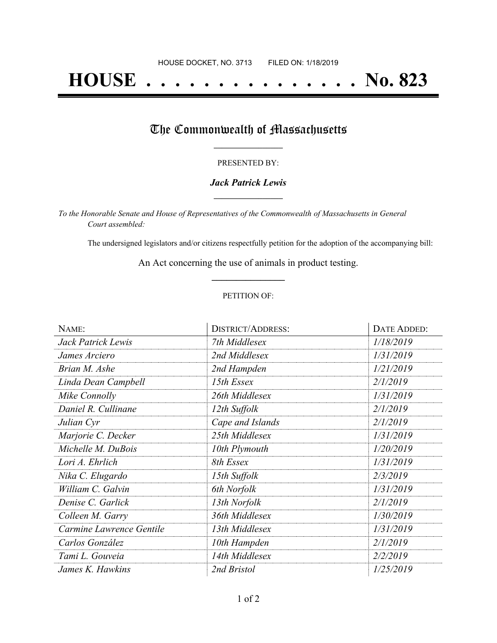# **HOUSE . . . . . . . . . . . . . . . No. 823**

## The Commonwealth of Massachusetts

#### PRESENTED BY:

#### *Jack Patrick Lewis* **\_\_\_\_\_\_\_\_\_\_\_\_\_\_\_\_\_**

*To the Honorable Senate and House of Representatives of the Commonwealth of Massachusetts in General Court assembled:*

The undersigned legislators and/or citizens respectfully petition for the adoption of the accompanying bill:

An Act concerning the use of animals in product testing. **\_\_\_\_\_\_\_\_\_\_\_\_\_\_\_**

#### PETITION OF:

| NAME:                    | <b>DISTRICT/ADDRESS:</b> | DATE ADDED: |
|--------------------------|--------------------------|-------------|
| Jack Patrick Lewis       | 7th Middlesex            | 1/18/2019   |
| James Arciero            | 2nd Middlesex            | 1/31/2019   |
| Brian M. Ashe            | 2nd Hampden              | 1/21/2019   |
| Linda Dean Campbell      | 15th Essex               | 2/1/2019    |
| Mike Connolly            | 26th Middlesex           | 1/31/2019   |
| Daniel R. Cullinane      | 12th Suffolk             | 2/1/2019    |
| Julian Cyr               | Cape and Islands         | 2/1/2019    |
| Marjorie C. Decker       | 25th Middlesex           | 1/31/2019   |
| Michelle M. DuBois       | 10th Plymouth            | 1/20/2019   |
| Lori A. Ehrlich          | 8th Essex                | 1/31/2019   |
| Nika C. Elugardo         | 15th Suffolk             | 2/3/2019    |
| William C. Galvin        | 6th Norfolk              | 1/31/2019   |
| Denise C. Garlick        | 13th Norfolk             | 2/1/2019    |
| Colleen M. Garry         | 36th Middlesex           | 1/30/2019   |
| Carmine Lawrence Gentile | 13th Middlesex           | 1/31/2019   |
| Carlos González          | 10th Hampden             | 2/1/2019    |
| Tami L. Gouveia          | 14th Middlesex           | 2/2/2019    |
| James K. Hawkins         | 2nd Bristol              | 1/25/2019   |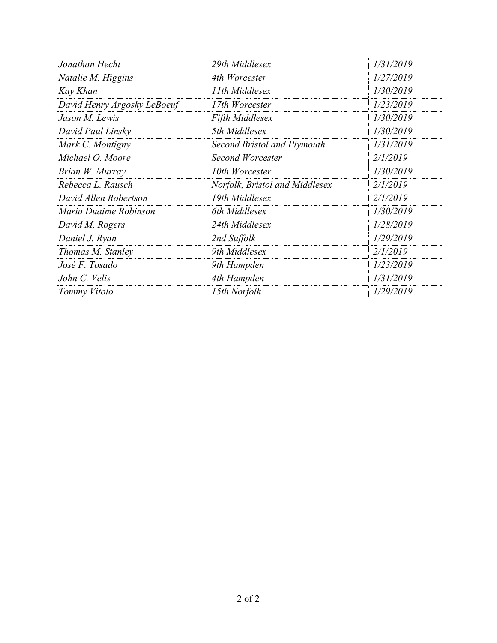| Jonathan Hecht              | 29th Middlesex                 | 1/31/2019 |
|-----------------------------|--------------------------------|-----------|
| Natalie M. Higgins          | 4th Worcester                  | 1/27/2019 |
| Kay Khan                    | 11th Middlesex                 | 1/30/2019 |
| David Henry Argosky LeBoeuf | 17th Worcester                 | 1/23/2019 |
| Jason M. Lewis              | <b>Fifth Middlesex</b>         | 1/30/2019 |
| David Paul Linsky           | 5th Middlesex                  | 1/30/2019 |
| Mark C. Montigny            | Second Bristol and Plymouth    | 1/31/2019 |
| Michael O. Moore            | Second Worcester               | 2/1/2019  |
| Brian W. Murray             | 10th Worcester                 | 1/30/2019 |
| Rebecca L. Rausch           | Norfolk, Bristol and Middlesex | 2/1/2019  |
| David Allen Robertson       | 19th Middlesex                 | 2/1/2019  |
| Maria Duaime Robinson       | 6th Middlesex                  | 1/30/2019 |
| David M. Rogers             | 24th Middlesex                 | 1/28/2019 |
| Daniel J. Ryan              | 2nd Suffolk                    | 1/29/2019 |
| Thomas M. Stanley           | 9th Middlesex                  | 2/1/2019  |
| José F. Tosado              | 9th Hampden                    | 1/23/2019 |
| John C. Velis               | 4th Hampden                    | 1/31/2019 |
| Tommy Vitolo                | 15th Norfolk                   | 1/29/2019 |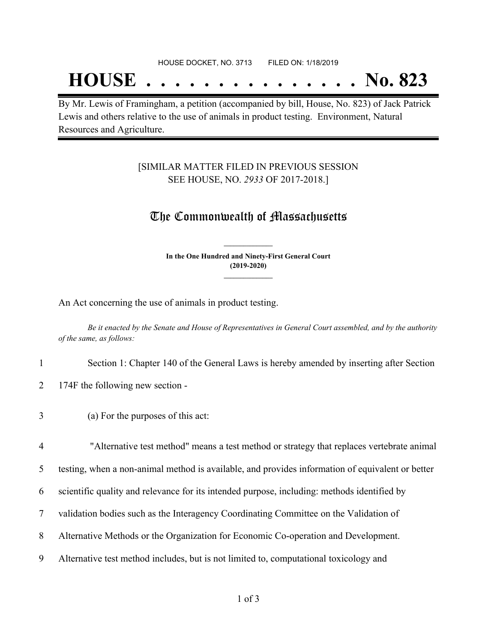## **HOUSE . . . . . . . . . . . . . . . No. 823**

By Mr. Lewis of Framingham, a petition (accompanied by bill, House, No. 823) of Jack Patrick Lewis and others relative to the use of animals in product testing. Environment, Natural Resources and Agriculture.

#### [SIMILAR MATTER FILED IN PREVIOUS SESSION SEE HOUSE, NO. *2933* OF 2017-2018.]

### The Commonwealth of Massachusetts

**In the One Hundred and Ninety-First General Court (2019-2020) \_\_\_\_\_\_\_\_\_\_\_\_\_\_\_**

**\_\_\_\_\_\_\_\_\_\_\_\_\_\_\_**

An Act concerning the use of animals in product testing.

Be it enacted by the Senate and House of Representatives in General Court assembled, and by the authority *of the same, as follows:*

- 1 Section 1: Chapter 140 of the General Laws is hereby amended by inserting after Section
- 2 174F the following new section -
- 3 (a) For the purposes of this act:

 "Alternative test method" means a test method or strategy that replaces vertebrate animal testing, when a non-animal method is available, and provides information of equivalent or better scientific quality and relevance for its intended purpose, including: methods identified by validation bodies such as the Interagency Coordinating Committee on the Validation of Alternative Methods or the Organization for Economic Co-operation and Development.

- 
- 9 Alternative test method includes, but is not limited to, computational toxicology and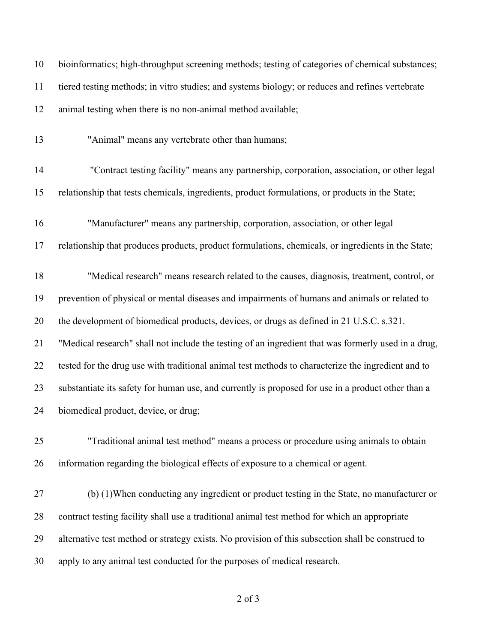| 11 | tiered testing methods; in vitro studies; and systems biology; or reduces and refines vertebrate    |
|----|-----------------------------------------------------------------------------------------------------|
| 12 | animal testing when there is no non-animal method available;                                        |
| 13 | "Animal" means any vertebrate other than humans;                                                    |
| 14 | "Contract testing facility" means any partnership, corporation, association, or other legal         |
| 15 | relationship that tests chemicals, ingredients, product formulations, or products in the State;     |
| 16 | "Manufacturer" means any partnership, corporation, association, or other legal                      |
| 17 | relationship that produces products, product formulations, chemicals, or ingredients in the State;  |
| 18 | "Medical research" means research related to the causes, diagnosis, treatment, control, or          |
| 19 | prevention of physical or mental diseases and impairments of humans and animals or related to       |
| 20 | the development of biomedical products, devices, or drugs as defined in 21 U.S.C. s.321.            |
| 21 | "Medical research" shall not include the testing of an ingredient that was formerly used in a drug, |
| 22 | tested for the drug use with traditional animal test methods to characterize the ingredient and to  |
| 23 | substantiate its safety for human use, and currently is proposed for use in a product other than a  |
| 24 | biomedical product, device, or drug;                                                                |
| 25 | "Traditional animal test method" means a process or procedure using animals to obtain               |
| 26 | information regarding the biological effects of exposure to a chemical or agent.                    |
| 27 | (b) (1) When conducting any ingredient or product testing in the State, no manufacturer or          |
| 28 | contract testing facility shall use a traditional animal test method for which an appropriate       |
| 29 | alternative test method or strategy exists. No provision of this subsection shall be construed to   |
| 30 | apply to any animal test conducted for the purposes of medical research.                            |

of 3